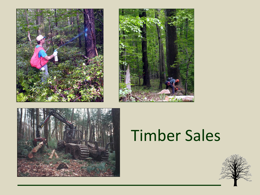





# Timber Sales

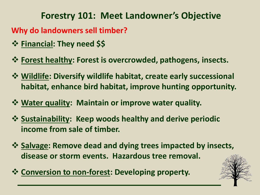#### **Forestry 101: Meet Landowner's Objective**

**Why do landowners sell timber?**

- **Financial: They need \$\$**
- **Forest healthy: Forest is overcrowded, pathogens, insects.**
- **Wildlife: Diversify wildlife habitat, create early successional habitat, enhance bird habitat, improve hunting opportunity.**
- **Water quality: Maintain or improve water quality.**
- **Sustainability: Keep woods healthy and derive periodic income from sale of timber.**
- $\dots$  **Salvage: Remove dead and dying trees impacted by insects, disease or storm events. Hazardous tree removal.**
- **☆ Conversion to non-forest: Developing property.**

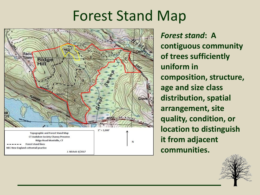### Forest Stand Map



*Forest stand***: A contiguous community of trees sufficiently uniform in composition, structure, age and size class distribution, spatial arrangement, site quality, condition, or location to distinguish it from adjacent communities.**

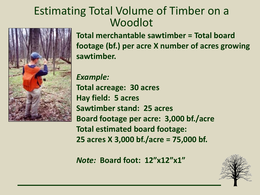#### Estimating Total Volume of Timber on a Woodlot



**Total merchantable sawtimber = Total board footage (bf.) per acre X number of acres growing sawtimber.**

*Example:* **Total acreage: 30 acres Hay field: 5 acres Sawtimber stand: 25 acres Board footage per acre: 3,000 bf./acre Total estimated board footage: 25 acres X 3,000 bf./acre = 75,000 bf.**

*Note:* **Board foot: 12"x12"x1"**

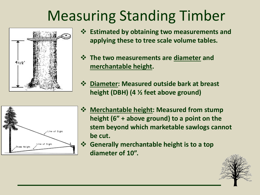## Measuring Standing Timber



- **Estimated by obtaining two measurements and applying these to tree scale volume tables.**
- **The two measurements are diameter and merchantable height.**
- **Diameter: Measured outside bark at breast height (DBH) (4 ½ feet above ground)**



- **Merchantable height: Measured from stump height (6" + above ground) to a point on the stem beyond which marketable sawlogs cannot be cut.** 
	- **Generally merchantable height is to a top diameter of 10".**

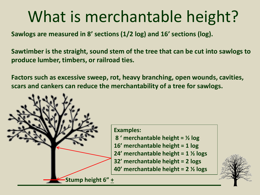# What is merchantable height?

**Sawlogs are measured in 8' sections (1/2 log) and 16' sections (log).**

**Sawtimber is the straight, sound stem of the tree that can be cut into sawlogs to produce lumber, timbers, or railroad ties.**

**Factors such as excessive sweep, rot, heavy branching, open wounds, cavities, scars and cankers can reduce the merchantability of a tree for sawlogs.**

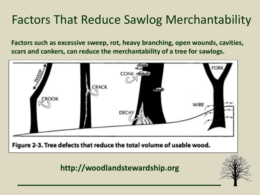### Factors That Reduce Sawlog Merchantability

**Factors such as excessive sweep, rot, heavy branching, open wounds, cavities, scars and cankers, can reduce the merchantability of a tree for sawlogs.**

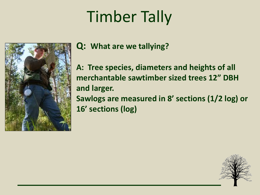# Timber Tally



**Q: What are we tallying?**

**A: Tree species, diameters and heights of all merchantable sawtimber sized trees 12" DBH and larger. Sawlogs are measured in 8' sections (1/2 log) or 16' sections (log)**

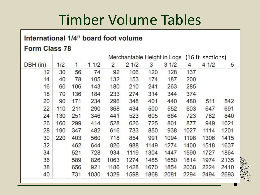### Timber Volume Tables

#### International 1/4" board foot volume

#### Form Class 78

|          |     |     |      | Merchantable Height in Logs |      | (16 ft. sections) |      |      |      |      |
|----------|-----|-----|------|-----------------------------|------|-------------------|------|------|------|------|
| DBH (in) | 1/2 | 1   | 11/2 | 2                           | 21/2 | 3                 | 31/2 | 4    | 41/2 | 5    |
| 12       | 30  | 56  | 74   | 92                          | 106  | 120               | 128  | 137  |      |      |
| 14       | 40  | 78  | 105  | 132                         | 153  | 174               | 187  | 200  |      |      |
| 16       | 60  | 106 | 143  | 180                         | 210  | 241               | 263  | 285  |      |      |
| 18       | 70  | 136 | 184  | 233                         | 274  | 314               | 344  | 374  |      |      |
| 20       | 90  | 171 | 234  | 296                         | 348  | 401               | 440  | 480  | 511  | 542  |
| 22       | 110 | 211 | 290  | 368                         | 434  | 500               | 552  | 603  | 647  | 691  |
| 24       | 130 | 251 | 346  | 441                         | 523  | 605               | 664  | 723  | 782  | 840  |
| 26       | 160 | 299 | 414  | 528                         | 626  | 725               | 801  | 877  | 949  | 1021 |
| 28       | 190 | 347 | 482  | 616                         | 733  | 850               | 938  | 1027 | 1114 | 1201 |
| 30       | 220 | 403 | 560  | 718                         | 854  | 991               | 1094 | 1198 | 1306 | 1415 |
| 32       |     | 462 | 644  | 826                         | 988  | 1149              | 1274 | 1400 | 1518 | 1637 |
| 34       |     | 521 | 728  | 934                         | 1119 | 1304              | 1447 | 1590 | 1727 | 1864 |
| 36       |     | 589 | 826  | 1063                        | 1274 | 1485              | 1650 | 1814 | 1974 | 2135 |
| 38       |     | 656 | 921  | 1186                        | 1428 | 1670              | 1854 | 2038 | 2224 | 2410 |
| 40       |     | 731 | 1030 | 1329                        | 1598 | 1868              | 2081 | 2294 | 2494 | 2693 |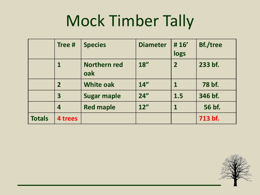# Mock Timber Tally

|               | Tree #      | <b>Species</b>             | <b>Diameter</b> | #16'<br>logs   | <b>Bf./tree</b> |
|---------------|-------------|----------------------------|-----------------|----------------|-----------------|
|               |             | <b>Northern red</b><br>oak | 18''            | $\overline{2}$ | 233 bf.         |
|               | $\mathbf 2$ | <b>White oak</b>           | 14''            | 1              | 78 bf.          |
|               | 3           | <b>Sugar maple</b>         | 24"             | 1.5            | 346 bf.         |
|               | 4           | <b>Red maple</b>           | 12"             | 1              | 56 bf.          |
| <b>Totals</b> | 4 trees     |                            |                 |                | 713 bf.         |